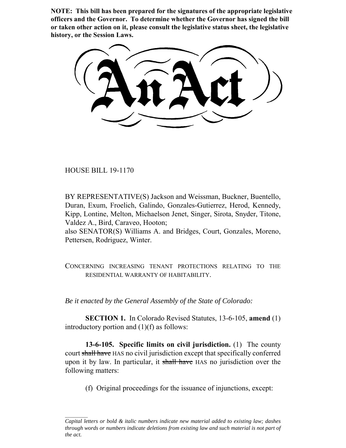**NOTE: This bill has been prepared for the signatures of the appropriate legislative officers and the Governor. To determine whether the Governor has signed the bill or taken other action on it, please consult the legislative status sheet, the legislative history, or the Session Laws.**

HOUSE BILL 19-1170

BY REPRESENTATIVE(S) Jackson and Weissman, Buckner, Buentello, Duran, Exum, Froelich, Galindo, Gonzales-Gutierrez, Herod, Kennedy, Kipp, Lontine, Melton, Michaelson Jenet, Singer, Sirota, Snyder, Titone, Valdez A., Bird, Caraveo, Hooton;

also SENATOR(S) Williams A. and Bridges, Court, Gonzales, Moreno, Pettersen, Rodriguez, Winter.

CONCERNING INCREASING TENANT PROTECTIONS RELATING TO THE RESIDENTIAL WARRANTY OF HABITABILITY.

*Be it enacted by the General Assembly of the State of Colorado:*

**SECTION 1.** In Colorado Revised Statutes, 13-6-105, **amend** (1) introductory portion and (1)(f) as follows:

**13-6-105. Specific limits on civil jurisdiction.** (1) The county court shall have HAS no civil jurisdiction except that specifically conferred upon it by law. In particular, it shall have HAS no jurisdiction over the following matters:

(f) Original proceedings for the issuance of injunctions, except:

*Capital letters or bold & italic numbers indicate new material added to existing law; dashes through words or numbers indicate deletions from existing law and such material is not part of the act.*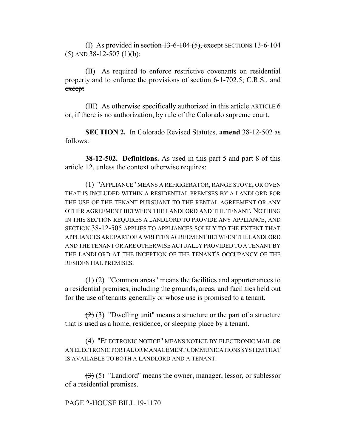(I) As provided in section  $13-6-104(5)$ , except SECTIONS 13-6-104  $(5)$  AND 38-12-507  $(1)(b)$ ;

(II) As required to enforce restrictive covenants on residential property and to enforce the provisions of section 6-1-702.5;  $C.R.S.,$  and except

(III) As otherwise specifically authorized in this article ARTICLE 6 or, if there is no authorization, by rule of the Colorado supreme court.

**SECTION 2.** In Colorado Revised Statutes, **amend** 38-12-502 as follows:

**38-12-502. Definitions.** As used in this part 5 and part 8 of this article 12, unless the context otherwise requires:

(1) "APPLIANCE" MEANS A REFRIGERATOR, RANGE STOVE, OR OVEN THAT IS INCLUDED WITHIN A RESIDENTIAL PREMISES BY A LANDLORD FOR THE USE OF THE TENANT PURSUANT TO THE RENTAL AGREEMENT OR ANY OTHER AGREEMENT BETWEEN THE LANDLORD AND THE TENANT. NOTHING IN THIS SECTION REQUIRES A LANDLORD TO PROVIDE ANY APPLIANCE, AND SECTION 38-12-505 APPLIES TO APPLIANCES SOLELY TO THE EXTENT THAT APPLIANCES ARE PART OF A WRITTEN AGREEMENT BETWEEN THE LANDLORD AND THE TENANT OR ARE OTHERWISE ACTUALLY PROVIDED TO A TENANT BY THE LANDLORD AT THE INCEPTION OF THE TENANT'S OCCUPANCY OF THE RESIDENTIAL PREMISES.

 $(1)$  (2) "Common areas" means the facilities and appurtenances to a residential premises, including the grounds, areas, and facilities held out for the use of tenants generally or whose use is promised to a tenant.

 $(2)$  (3) "Dwelling unit" means a structure or the part of a structure that is used as a home, residence, or sleeping place by a tenant.

(4) "ELECTRONIC NOTICE" MEANS NOTICE BY ELECTRONIC MAIL OR AN ELECTRONIC PORTAL OR MANAGEMENT COMMUNICATIONS SYSTEM THAT IS AVAILABLE TO BOTH A LANDLORD AND A TENANT.

 $(3)$  (5) "Landlord" means the owner, manager, lessor, or sublessor of a residential premises.

# PAGE 2-HOUSE BILL 19-1170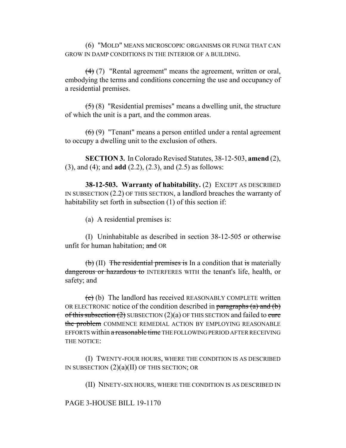(6) "MOLD" MEANS MICROSCOPIC ORGANISMS OR FUNGI THAT CAN GROW IN DAMP CONDITIONS IN THE INTERIOR OF A BUILDING.

(4) (7) "Rental agreement" means the agreement, written or oral, embodying the terms and conditions concerning the use and occupancy of a residential premises.

 $(5)$  (8) "Residential premises" means a dwelling unit, the structure of which the unit is a part, and the common areas.

(6) (9) "Tenant" means a person entitled under a rental agreement to occupy a dwelling unit to the exclusion of others.

**SECTION 3.** In Colorado Revised Statutes, 38-12-503, **amend** (2), (3), and (4); and **add** (2.2), (2.3), and (2.5) as follows:

**38-12-503. Warranty of habitability.** (2) EXCEPT AS DESCRIBED IN SUBSECTION (2.2) OF THIS SECTION, a landlord breaches the warranty of habitability set forth in subsection (1) of this section if:

(a) A residential premises is:

(I) Uninhabitable as described in section 38-12-505 or otherwise unfit for human habitation; and OR

 $(b)$  (II) The residential premises is In a condition that is materially dangerous or hazardous to INTERFERES WITH the tenant's life, health, or safety; and

 $\overline{(e)}$  (b) The landlord has received REASONABLY COMPLETE written OR ELECTRONIC notice of the condition described in paragraphs  $(a)$  and  $(b)$ of this subsection  $(2)$  SUBSECTION  $(2)(a)$  OF THIS SECTION and failed to cure the problem COMMENCE REMEDIAL ACTION BY EMPLOYING REASONABLE EFFORTS within a reasonable time THE FOLLOWING PERIOD AFTER RECEIVING THE NOTICE:

(I) TWENTY-FOUR HOURS, WHERE THE CONDITION IS AS DESCRIBED IN SUBSECTION (2)(a)(II) OF THIS SECTION; OR

(II) NINETY-SIX HOURS, WHERE THE CONDITION IS AS DESCRIBED IN

#### PAGE 3-HOUSE BILL 19-1170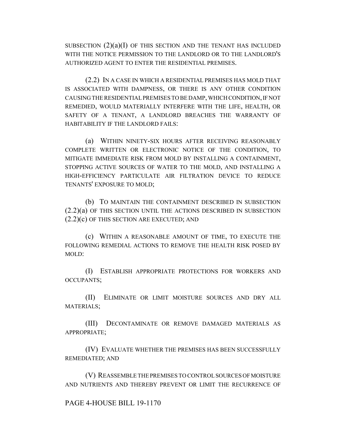SUBSECTION  $(2)(a)(I)$  OF THIS SECTION AND THE TENANT HAS INCLUDED WITH THE NOTICE PERMISSION TO THE LANDLORD OR TO THE LANDLORD'S AUTHORIZED AGENT TO ENTER THE RESIDENTIAL PREMISES.

(2.2) IN A CASE IN WHICH A RESIDENTIAL PREMISES HAS MOLD THAT IS ASSOCIATED WITH DAMPNESS, OR THERE IS ANY OTHER CONDITION CAUSING THE RESIDENTIAL PREMISES TO BE DAMP, WHICH CONDITION, IF NOT REMEDIED, WOULD MATERIALLY INTERFERE WITH THE LIFE, HEALTH, OR SAFETY OF A TENANT, A LANDLORD BREACHES THE WARRANTY OF HABITABILITY IF THE LANDLORD FAILS:

(a) WITHIN NINETY-SIX HOURS AFTER RECEIVING REASONABLY COMPLETE WRITTEN OR ELECTRONIC NOTICE OF THE CONDITION, TO MITIGATE IMMEDIATE RISK FROM MOLD BY INSTALLING A CONTAINMENT, STOPPING ACTIVE SOURCES OF WATER TO THE MOLD, AND INSTALLING A HIGH-EFFICIENCY PARTICULATE AIR FILTRATION DEVICE TO REDUCE TENANTS' EXPOSURE TO MOLD;

(b) TO MAINTAIN THE CONTAINMENT DESCRIBED IN SUBSECTION (2.2)(a) OF THIS SECTION UNTIL THE ACTIONS DESCRIBED IN SUBSECTION (2.2)(c) OF THIS SECTION ARE EXECUTED; AND

(c) WITHIN A REASONABLE AMOUNT OF TIME, TO EXECUTE THE FOLLOWING REMEDIAL ACTIONS TO REMOVE THE HEALTH RISK POSED BY MOLD:

(I) ESTABLISH APPROPRIATE PROTECTIONS FOR WORKERS AND OCCUPANTS;

(II) ELIMINATE OR LIMIT MOISTURE SOURCES AND DRY ALL MATERIALS;

(III) DECONTAMINATE OR REMOVE DAMAGED MATERIALS AS APPROPRIATE;

(IV) EVALUATE WHETHER THE PREMISES HAS BEEN SUCCESSFULLY REMEDIATED; AND

(V) REASSEMBLE THE PREMISES TO CONTROL SOURCES OF MOISTURE AND NUTRIENTS AND THEREBY PREVENT OR LIMIT THE RECURRENCE OF

#### PAGE 4-HOUSE BILL 19-1170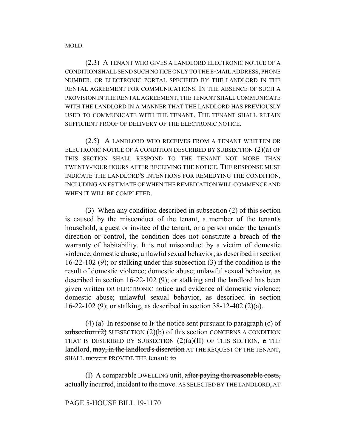MOLD.

(2.3) A TENANT WHO GIVES A LANDLORD ELECTRONIC NOTICE OF A CONDITION SHALL SEND SUCH NOTICE ONLY TO THE E-MAIL ADDRESS, PHONE NUMBER, OR ELECTRONIC PORTAL SPECIFIED BY THE LANDLORD IN THE RENTAL AGREEMENT FOR COMMUNICATIONS. IN THE ABSENCE OF SUCH A PROVISION IN THE RENTAL AGREEMENT, THE TENANT SHALL COMMUNICATE WITH THE LANDLORD IN A MANNER THAT THE LANDLORD HAS PREVIOUSLY USED TO COMMUNICATE WITH THE TENANT. THE TENANT SHALL RETAIN SUFFICIENT PROOF OF DELIVERY OF THE ELECTRONIC NOTICE.

(2.5) A LANDLORD WHO RECEIVES FROM A TENANT WRITTEN OR ELECTRONIC NOTICE OF A CONDITION DESCRIBED BY SUBSECTION (2)(a) OF THIS SECTION SHALL RESPOND TO THE TENANT NOT MORE THAN TWENTY-FOUR HOURS AFTER RECEIVING THE NOTICE. THE RESPONSE MUST INDICATE THE LANDLORD'S INTENTIONS FOR REMEDYING THE CONDITION, INCLUDING AN ESTIMATE OF WHEN THE REMEDIATION WILL COMMENCE AND WHEN IT WILL BE COMPLETED.

(3) When any condition described in subsection (2) of this section is caused by the misconduct of the tenant, a member of the tenant's household, a guest or invitee of the tenant, or a person under the tenant's direction or control, the condition does not constitute a breach of the warranty of habitability. It is not misconduct by a victim of domestic violence; domestic abuse; unlawful sexual behavior, as described in section 16-22-102 (9); or stalking under this subsection (3) if the condition is the result of domestic violence; domestic abuse; unlawful sexual behavior, as described in section 16-22-102 (9); or stalking and the landlord has been given written OR ELECTRONIC notice and evidence of domestic violence; domestic abuse; unlawful sexual behavior, as described in section 16-22-102 (9); or stalking, as described in section 38-12-402 (2)(a).

(4) (a) In response to IF the notice sent pursuant to paragraph  $(c)$  of subsection  $(2)$  SUBSECTION  $(2)(b)$  of this section CONCERNS A CONDITION THAT IS DESCRIBED BY SUBSECTION  $(2)(a)(II)$  OF THIS SECTION,  $\alpha$  THE landlord, may, in the landlord's discretion AT THE REQUEST OF THE TENANT, SHALL move a PROVIDE THE tenant: to

(I) A comparable DWELLING unit, after paying the reasonable costs, actually incurred, incident to the move. AS SELECTED BY THE LANDLORD, AT

# PAGE 5-HOUSE BILL 19-1170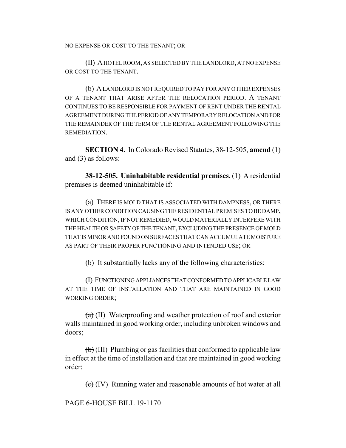NO EXPENSE OR COST TO THE TENANT; OR

(II) A HOTEL ROOM, AS SELECTED BY THE LANDLORD, AT NO EXPENSE OR COST TO THE TENANT.

(b) A LANDLORD IS NOT REQUIRED TO PAY FOR ANY OTHER EXPENSES OF A TENANT THAT ARISE AFTER THE RELOCATION PERIOD. A TENANT CONTINUES TO BE RESPONSIBLE FOR PAYMENT OF RENT UNDER THE RENTAL AGREEMENT DURING THE PERIOD OF ANY TEMPORARY RELOCATION AND FOR THE REMAINDER OF THE TERM OF THE RENTAL AGREEMENT FOLLOWING THE REMEDIATION.

**SECTION 4.** In Colorado Revised Statutes, 38-12-505, **amend** (1) and (3) as follows:

**38-12-505. Uninhabitable residential premises.** (1) A residential premises is deemed uninhabitable if:

(a) THERE IS MOLD THAT IS ASSOCIATED WITH DAMPNESS, OR THERE IS ANY OTHER CONDITION CAUSING THE RESIDENTIAL PREMISES TO BE DAMP, WHICH CONDITION, IF NOT REMEDIED, WOULD MATERIALLY INTERFERE WITH THE HEALTH OR SAFETY OF THE TENANT, EXCLUDING THE PRESENCE OF MOLD THAT IS MINOR AND FOUND ON SURFACES THAT CAN ACCUMULATE MOISTURE AS PART OF THEIR PROPER FUNCTIONING AND INTENDED USE; OR

(b) It substantially lacks any of the following characteristics:

(I) FUNCTIONING APPLIANCES THAT CONFORMED TO APPLICABLE LAW AT THE TIME OF INSTALLATION AND THAT ARE MAINTAINED IN GOOD WORKING ORDER;

 $(a)$  (II) Waterproofing and weather protection of roof and exterior walls maintained in good working order, including unbroken windows and doors;

 $\left(\frac{b}{b}\right)$  (III) Plumbing or gas facilities that conformed to applicable law in effect at the time of installation and that are maintained in good working order;

(c) (IV) Running water and reasonable amounts of hot water at all

PAGE 6-HOUSE BILL 19-1170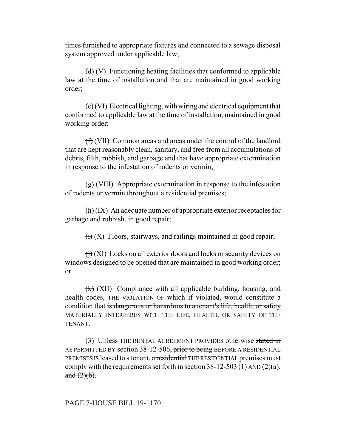times furnished to appropriate fixtures and connected to a sewage disposal system approved under applicable law;

 $(d)$  (V) Functioning heating facilities that conformed to applicable law at the time of installation and that are maintained in good working order;

 $(e)(V)$  Electrical lighting, with wiring and electrical equipment that conformed to applicable law at the time of installation, maintained in good working order;

(f) (VII) Common areas and areas under the control of the landlord that are kept reasonably clean, sanitary, and free from all accumulations of debris, filth, rubbish, and garbage and that have appropriate extermination in response to the infestation of rodents or vermin;

 $\left(\frac{g}{g}\right)$  (VIII) Appropriate extermination in response to the infestation of rodents or vermin throughout a residential premises;

 $\left(\frac{h}{h}\right)$  (IX) An adequate number of appropriate exterior receptacles for garbage and rubbish, in good repair;

 $\overrightarrow{(ii)}$  (X) Floors, stairways, and railings maintained in good repair;

 $\left(\frac{1}{1}\right)$  (XI) Locks on all exterior doors and locks or security devices on windows designed to be opened that are maintained in good working order; or

 $(\mathbf{k})$  (XII) Compliance with all applicable building, housing, and health codes, THE VIOLATION OF which if violated, would constitute a condition that is dangerous or hazardous to a tenant's life, health, or safety MATERIALLY INTERFERES WITH THE LIFE, HEALTH, OR SAFETY OF THE TENANT.

(3) Unless THE RENTAL AGREEMENT PROVIDES otherwise stated in AS PERMITTED BY section 38-12-506, prior to being BEFORE A RESIDENTIAL PREMISES IS leased to a tenant, a residential THE RESIDENTIAL premises must comply with the requirements set forth in section  $38-12-503$  (1) AND (2)(a). and  $(2)(b)$ .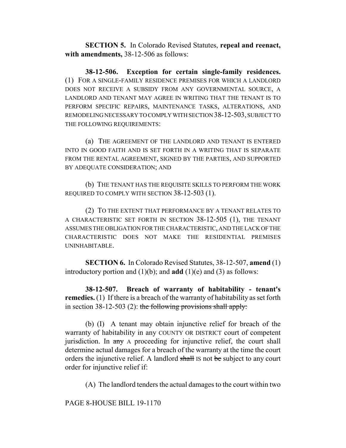**SECTION 5.** In Colorado Revised Statutes, **repeal and reenact, with amendments,** 38-12-506 as follows:

**38-12-506. Exception for certain single-family residences.** (1) FOR A SINGLE-FAMILY RESIDENCE PREMISES FOR WHICH A LANDLORD DOES NOT RECEIVE A SUBSIDY FROM ANY GOVERNMENTAL SOURCE, A LANDLORD AND TENANT MAY AGREE IN WRITING THAT THE TENANT IS TO PERFORM SPECIFIC REPAIRS, MAINTENANCE TASKS, ALTERATIONS, AND REMODELING NECESSARY TO COMPLY WITH SECTION 38-12-503, SUBJECT TO THE FOLLOWING REQUIREMENTS:

(a) THE AGREEMENT OF THE LANDLORD AND TENANT IS ENTERED INTO IN GOOD FAITH AND IS SET FORTH IN A WRITING THAT IS SEPARATE FROM THE RENTAL AGREEMENT, SIGNED BY THE PARTIES, AND SUPPORTED BY ADEQUATE CONSIDERATION; AND

(b) THE TENANT HAS THE REQUISITE SKILLS TO PERFORM THE WORK REQUIRED TO COMPLY WITH SECTION 38-12-503 (1).

(2) TO THE EXTENT THAT PERFORMANCE BY A TENANT RELATES TO A CHARACTERISTIC SET FORTH IN SECTION 38-12-505 (1), THE TENANT ASSUMES THE OBLIGATION FOR THE CHARACTERISTIC, AND THE LACK OF THE CHARACTERISTIC DOES NOT MAKE THE RESIDENTIAL PREMISES UNINHABITABLE.

**SECTION 6.** In Colorado Revised Statutes, 38-12-507, **amend** (1) introductory portion and (1)(b); and **add** (1)(e) and (3) as follows:

**38-12-507. Breach of warranty of habitability - tenant's remedies.** (1) If there is a breach of the warranty of habitability as set forth in section 38-12-503 (2): the following provisions shall apply:

(b) (I) A tenant may obtain injunctive relief for breach of the warranty of habitability in any COUNTY OR DISTRICT court of competent jurisdiction. In any A proceeding for injunctive relief, the court shall determine actual damages for a breach of the warranty at the time the court orders the injunctive relief. A landlord shall IS not be subject to any court order for injunctive relief if:

(A) The landlord tenders the actual damages to the court within two

PAGE 8-HOUSE BILL 19-1170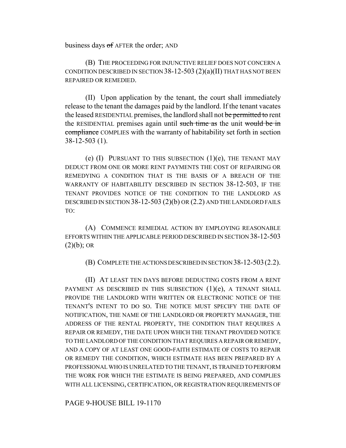business days of AFTER the order; AND

(B) THE PROCEEDING FOR INJUNCTIVE RELIEF DOES NOT CONCERN A CONDITION DESCRIBED IN SECTION  $38-12-503$   $(2)(a)(II)$  THAT HAS NOT BEEN REPAIRED OR REMEDIED.

(II) Upon application by the tenant, the court shall immediately release to the tenant the damages paid by the landlord. If the tenant vacates the leased RESIDENTIAL premises, the landlord shall not be permitted to rent the RESIDENTIAL premises again until such time as the unit would be in compliance COMPLIES with the warranty of habitability set forth in section 38-12-503 (1).

(e)  $(I)$  PURSUANT TO THIS SUBSECTION  $(1)(e)$ , THE TENANT MAY DEDUCT FROM ONE OR MORE RENT PAYMENTS THE COST OF REPAIRING OR REMEDYING A CONDITION THAT IS THE BASIS OF A BREACH OF THE WARRANTY OF HABITABILITY DESCRIBED IN SECTION 38-12-503, IF THE TENANT PROVIDES NOTICE OF THE CONDITION TO THE LANDLORD AS DESCRIBED IN SECTION 38-12-503 (2)(b) OR (2.2) AND THE LANDLORD FAILS TO:

(A) COMMENCE REMEDIAL ACTION BY EMPLOYING REASONABLE EFFORTS WITHIN THE APPLICABLE PERIOD DESCRIBED IN SECTION 38-12-503  $(2)(b)$ ; OR

(B) COMPLETE THE ACTIONS DESCRIBED IN SECTION 38-12-503(2.2).

(II) AT LEAST TEN DAYS BEFORE DEDUCTING COSTS FROM A RENT PAYMENT AS DESCRIBED IN THIS SUBSECTION  $(1)(e)$ , A TENANT SHALL PROVIDE THE LANDLORD WITH WRITTEN OR ELECTRONIC NOTICE OF THE TENANT'S INTENT TO DO SO. THE NOTICE MUST SPECIFY THE DATE OF NOTIFICATION, THE NAME OF THE LANDLORD OR PROPERTY MANAGER, THE ADDRESS OF THE RENTAL PROPERTY, THE CONDITION THAT REQUIRES A REPAIR OR REMEDY, THE DATE UPON WHICH THE TENANT PROVIDED NOTICE TO THE LANDLORD OF THE CONDITION THAT REQUIRES A REPAIR OR REMEDY, AND A COPY OF AT LEAST ONE GOOD-FAITH ESTIMATE OF COSTS TO REPAIR OR REMEDY THE CONDITION, WHICH ESTIMATE HAS BEEN PREPARED BY A PROFESSIONAL WHO IS UNRELATED TO THE TENANT, IS TRAINED TO PERFORM THE WORK FOR WHICH THE ESTIMATE IS BEING PREPARED, AND COMPLIES WITH ALL LICENSING, CERTIFICATION, OR REGISTRATION REQUIREMENTS OF

PAGE 9-HOUSE BILL 19-1170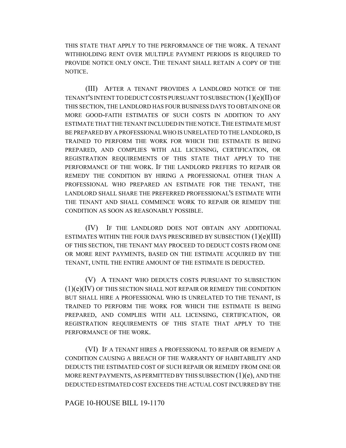THIS STATE THAT APPLY TO THE PERFORMANCE OF THE WORK. A TENANT WITHHOLDING RENT OVER MULTIPLE PAYMENT PERIODS IS REQUIRED TO PROVIDE NOTICE ONLY ONCE. THE TENANT SHALL RETAIN A COPY OF THE NOTICE.

(III) AFTER A TENANT PROVIDES A LANDLORD NOTICE OF THE TENANT'S INTENT TO DEDUCT COSTS PURSUANT TO SUBSECTION (1)(e)(II) OF THIS SECTION, THE LANDLORD HAS FOUR BUSINESS DAYS TO OBTAIN ONE OR MORE GOOD-FAITH ESTIMATES OF SUCH COSTS IN ADDITION TO ANY ESTIMATE THAT THE TENANT INCLUDED IN THE NOTICE. THE ESTIMATE MUST BE PREPARED BY A PROFESSIONAL WHO IS UNRELATED TO THE LANDLORD, IS TRAINED TO PERFORM THE WORK FOR WHICH THE ESTIMATE IS BEING PREPARED, AND COMPLIES WITH ALL LICENSING, CERTIFICATION, OR REGISTRATION REQUIREMENTS OF THIS STATE THAT APPLY TO THE PERFORMANCE OF THE WORK. IF THE LANDLORD PREFERS TO REPAIR OR REMEDY THE CONDITION BY HIRING A PROFESSIONAL OTHER THAN A PROFESSIONAL WHO PREPARED AN ESTIMATE FOR THE TENANT, THE LANDLORD SHALL SHARE THE PREFERRED PROFESSIONAL'S ESTIMATE WITH THE TENANT AND SHALL COMMENCE WORK TO REPAIR OR REMEDY THE CONDITION AS SOON AS REASONABLY POSSIBLE.

(IV) IF THE LANDLORD DOES NOT OBTAIN ANY ADDITIONAL ESTIMATES WITHIN THE FOUR DAYS PRESCRIBED BY SUBSECTION  $(1)(e)(III)$ OF THIS SECTION, THE TENANT MAY PROCEED TO DEDUCT COSTS FROM ONE OR MORE RENT PAYMENTS, BASED ON THE ESTIMATE ACQUIRED BY THE TENANT, UNTIL THE ENTIRE AMOUNT OF THE ESTIMATE IS DEDUCTED.

(V) A TENANT WHO DEDUCTS COSTS PURSUANT TO SUBSECTION  $(1)(e)(IV)$  OF THIS SECTION SHALL NOT REPAIR OR REMEDY THE CONDITION BUT SHALL HIRE A PROFESSIONAL WHO IS UNRELATED TO THE TENANT, IS TRAINED TO PERFORM THE WORK FOR WHICH THE ESTIMATE IS BEING PREPARED, AND COMPLIES WITH ALL LICENSING, CERTIFICATION, OR REGISTRATION REQUIREMENTS OF THIS STATE THAT APPLY TO THE PERFORMANCE OF THE WORK.

(VI) IF A TENANT HIRES A PROFESSIONAL TO REPAIR OR REMEDY A CONDITION CAUSING A BREACH OF THE WARRANTY OF HABITABILITY AND DEDUCTS THE ESTIMATED COST OF SUCH REPAIR OR REMEDY FROM ONE OR MORE RENT PAYMENTS, AS PERMITTED BY THIS SUBSECTION  $(1)(e)$ , AND THE DEDUCTED ESTIMATED COST EXCEEDS THE ACTUAL COST INCURRED BY THE

#### PAGE 10-HOUSE BILL 19-1170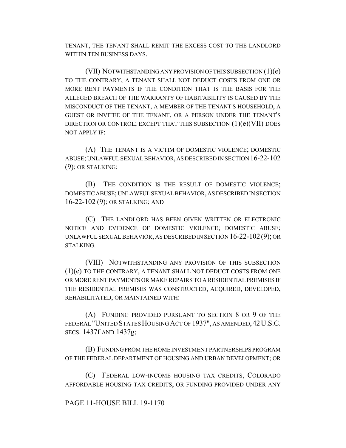TENANT, THE TENANT SHALL REMIT THE EXCESS COST TO THE LANDLORD WITHIN TEN BUSINESS DAYS.

(VII) NOTWITHSTANDING ANY PROVISION OF THIS SUBSECTION (1)(e) TO THE CONTRARY, A TENANT SHALL NOT DEDUCT COSTS FROM ONE OR MORE RENT PAYMENTS IF THE CONDITION THAT IS THE BASIS FOR THE ALLEGED BREACH OF THE WARRANTY OF HABITABILITY IS CAUSED BY THE MISCONDUCT OF THE TENANT, A MEMBER OF THE TENANT'S HOUSEHOLD, A GUEST OR INVITEE OF THE TENANT, OR A PERSON UNDER THE TENANT'S DIRECTION OR CONTROL; EXCEPT THAT THIS SUBSECTION  $(1)(e)(VII)$  DOES NOT APPLY IF:

(A) THE TENANT IS A VICTIM OF DOMESTIC VIOLENCE; DOMESTIC ABUSE; UNLAWFUL SEXUAL BEHAVIOR, AS DESCRIBED IN SECTION 16-22-102  $(9)$ ; OR STALKING;

(B) THE CONDITION IS THE RESULT OF DOMESTIC VIOLENCE; DOMESTIC ABUSE; UNLAWFUL SEXUAL BEHAVIOR, AS DESCRIBED IN SECTION 16-22-102 (9); OR STALKING; AND

(C) THE LANDLORD HAS BEEN GIVEN WRITTEN OR ELECTRONIC NOTICE AND EVIDENCE OF DOMESTIC VIOLENCE; DOMESTIC ABUSE; UNLAWFUL SEXUAL BEHAVIOR, AS DESCRIBED IN SECTION 16-22-102 (9); OR STALKING.

(VIII) NOTWITHSTANDING ANY PROVISION OF THIS SUBSECTION (1)(e) TO THE CONTRARY, A TENANT SHALL NOT DEDUCT COSTS FROM ONE OR MORE RENT PAYMENTS OR MAKE REPAIRS TO A RESIDENTIAL PREMISES IF THE RESIDENTIAL PREMISES WAS CONSTRUCTED, ACQUIRED, DEVELOPED, REHABILITATED, OR MAINTAINED WITH:

(A) FUNDING PROVIDED PURSUANT TO SECTION 8 OR 9 OF THE FEDERAL "UNITED STATES HOUSING ACT OF 1937", AS AMENDED,42U.S.C. SECS. 1437f AND 1437g;

(B) FUNDING FROM THE HOME INVESTMENT PARTNERSHIPS PROGRAM OF THE FEDERAL DEPARTMENT OF HOUSING AND URBAN DEVELOPMENT; OR

(C) FEDERAL LOW-INCOME HOUSING TAX CREDITS, COLORADO AFFORDABLE HOUSING TAX CREDITS, OR FUNDING PROVIDED UNDER ANY

# PAGE 11-HOUSE BILL 19-1170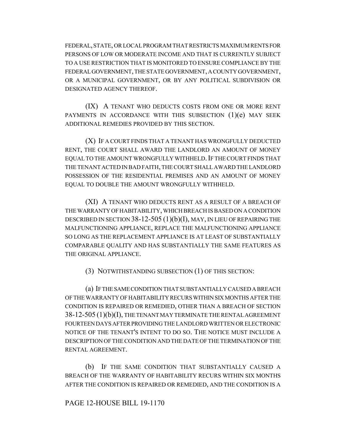FEDERAL, STATE, OR LOCAL PROGRAM THAT RESTRICTS MAXIMUM RENTS FOR PERSONS OF LOW OR MODERATE INCOME AND THAT IS CURRENTLY SUBJECT TO A USE RESTRICTION THAT IS MONITORED TO ENSURE COMPLIANCE BY THE FEDERAL GOVERNMENT, THE STATE GOVERNMENT, A COUNTY GOVERNMENT, OR A MUNICIPAL GOVERNMENT, OR BY ANY POLITICAL SUBDIVISION OR DESIGNATED AGENCY THEREOF.

(IX) A TENANT WHO DEDUCTS COSTS FROM ONE OR MORE RENT PAYMENTS IN ACCORDANCE WITH THIS SUBSECTION  $(1)(e)$  MAY SEEK ADDITIONAL REMEDIES PROVIDED BY THIS SECTION.

(X) IF A COURT FINDS THAT A TENANT HAS WRONGFULLY DEDUCTED RENT, THE COURT SHALL AWARD THE LANDLORD AN AMOUNT OF MONEY EQUAL TO THE AMOUNT WRONGFULLY WITHHELD. IF THE COURT FINDS THAT THE TENANT ACTED IN BAD FAITH, THE COURT SHALL AWARD THE LANDLORD POSSESSION OF THE RESIDENTIAL PREMISES AND AN AMOUNT OF MONEY EQUAL TO DOUBLE THE AMOUNT WRONGFULLY WITHHELD.

(XI) A TENANT WHO DEDUCTS RENT AS A RESULT OF A BREACH OF THE WARRANTY OF HABITABILITY, WHICH BREACH IS BASED ON A CONDITION DESCRIBED IN SECTION 38-12-505 (1)(b)(I), MAY, IN LIEU OF REPAIRING THE MALFUNCTIONING APPLIANCE, REPLACE THE MALFUNCTIONING APPLIANCE SO LONG AS THE REPLACEMENT APPLIANCE IS AT LEAST OF SUBSTANTIALLY COMPARABLE QUALITY AND HAS SUBSTANTIALLY THE SAME FEATURES AS THE ORIGINAL APPLIANCE.

(3) NOTWITHSTANDING SUBSECTION (1) OF THIS SECTION:

(a) IF THE SAME CONDITION THAT SUBSTANTIALLY CAUSED A BREACH OF THE WARRANTY OF HABITABILITY RECURS WITHIN SIX MONTHS AFTER THE CONDITION IS REPAIRED OR REMEDIED, OTHER THAN A BREACH OF SECTION 38-12-505 (1)(b)(I), THE TENANT MAY TERMINATE THE RENTAL AGREEMENT FOURTEEN DAYS AFTER PROVIDING THE LANDLORD WRITTEN OR ELECTRONIC NOTICE OF THE TENANT'S INTENT TO DO SO. THE NOTICE MUST INCLUDE A DESCRIPTION OF THE CONDITION AND THE DATE OF THE TERMINATION OF THE RENTAL AGREEMENT.

(b) IF THE SAME CONDITION THAT SUBSTANTIALLY CAUSED A BREACH OF THE WARRANTY OF HABITABILITY RECURS WITHIN SIX MONTHS AFTER THE CONDITION IS REPAIRED OR REMEDIED, AND THE CONDITION IS A

# PAGE 12-HOUSE BILL 19-1170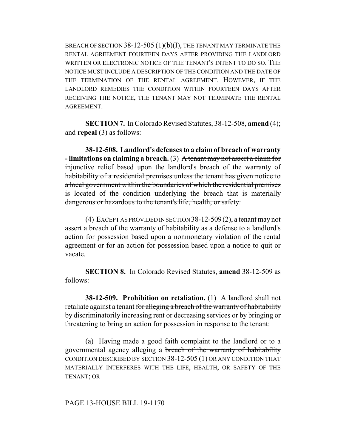BREACH OF SECTION 38-12-505 (1)(b)(I), THE TENANT MAY TERMINATE THE RENTAL AGREEMENT FOURTEEN DAYS AFTER PROVIDING THE LANDLORD WRITTEN OR ELECTRONIC NOTICE OF THE TENANT'S INTENT TO DO SO. THE NOTICE MUST INCLUDE A DESCRIPTION OF THE CONDITION AND THE DATE OF THE TERMINATION OF THE RENTAL AGREEMENT. HOWEVER, IF THE LANDLORD REMEDIES THE CONDITION WITHIN FOURTEEN DAYS AFTER RECEIVING THE NOTICE, THE TENANT MAY NOT TERMINATE THE RENTAL AGREEMENT.

**SECTION 7.** In Colorado Revised Statutes, 38-12-508, **amend** (4); and **repeal** (3) as follows:

**38-12-508. Landlord's defenses to a claim of breach of warranty - limitations on claiming a breach.** (3) A tenant may not assert a claim for injunctive relief based upon the landlord's breach of the warranty of habitability of a residential premises unless the tenant has given notice to a local government within the boundaries of which the residential premises is located of the condition underlying the breach that is materially dangerous or hazardous to the tenant's life, health, or safety.

(4) EXCEPT AS PROVIDED IN SECTION 38-12-509(2), a tenant may not assert a breach of the warranty of habitability as a defense to a landlord's action for possession based upon a nonmonetary violation of the rental agreement or for an action for possession based upon a notice to quit or vacate.

**SECTION 8.** In Colorado Revised Statutes, **amend** 38-12-509 as follows:

**38-12-509. Prohibition on retaliation.** (1) A landlord shall not retaliate against a tenant for alleging a breach of the warranty of habitability by discriminatorily increasing rent or decreasing services or by bringing or threatening to bring an action for possession in response to the tenant:

(a) Having made a good faith complaint to the landlord or to a governmental agency alleging a breach of the warranty of habitability CONDITION DESCRIBED BY SECTION 38-12-505 (1) OR ANY CONDITION THAT MATERIALLY INTERFERES WITH THE LIFE, HEALTH, OR SAFETY OF THE TENANT; OR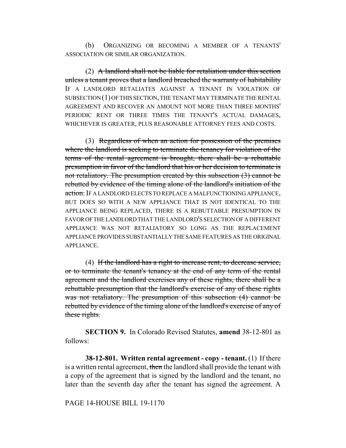(b) ORGANIZING OR BECOMING A MEMBER OF A TENANTS' ASSOCIATION OR SIMILAR ORGANIZATION.

(2) A landlord shall not be liable for retaliation under this section unless a tenant proves that a landlord breached the warranty of habitability IF A LANDLORD RETALIATES AGAINST A TENANT IN VIOLATION OF SUBSECTION (1) OF THIS SECTION, THE TENANT MAY TERMINATE THE RENTAL AGREEMENT AND RECOVER AN AMOUNT NOT MORE THAN THREE MONTHS' PERIODIC RENT OR THREE TIMES THE TENANT'S ACTUAL DAMAGES, WHICHEVER IS GREATER, PLUS REASONABLE ATTORNEY FEES AND COSTS.

(3) Regardless of when an action for possession of the premises where the landlord is seeking to terminate the tenancy for violation of the terms of the rental agreement is brought, there shall be a rebuttable presumption in favor of the landlord that his or her decision to terminate is not retaliatory. The presumption created by this subsection (3) cannot be rebutted by evidence of the timing alone of the landlord's initiation of the action. IF A LANDLORD ELECTS TO REPLACE A MALFUNCTIONING APPLIANCE, BUT DOES SO WITH A NEW APPLIANCE THAT IS NOT IDENTICAL TO THE APPLIANCE BEING REPLACED, THERE IS A REBUTTABLE PRESUMPTION IN FAVOR OF THE LANDLORD THAT THE LANDLORD'S SELECTION OF A DIFFERENT APPLIANCE WAS NOT RETALIATORY SO LONG AS THE REPLACEMENT APPLIANCE PROVIDES SUBSTANTIALLY THE SAME FEATURES AS THE ORIGINAL APPLIANCE.

(4) If the landlord has a right to increase rent, to decrease service, or to terminate the tenant's tenancy at the end of any term of the rental agreement and the landlord exercises any of these rights, there shall be a rebuttable presumption that the landlord's exercise of any of these rights was not retaliatory. The presumption of this subsection  $(4)$  cannot be rebutted by evidence of the timing alone of the landlord's exercise of any of these rights.

**SECTION 9.** In Colorado Revised Statutes, **amend** 38-12-801 as follows:

**38-12-801. Written rental agreement - copy - tenant.** (1) If there is a written rental agreement, then the landlord shall provide the tenant with a copy of the agreement that is signed by the landlord and the tenant, no later than the seventh day after the tenant has signed the agreement. A

PAGE 14-HOUSE BILL 19-1170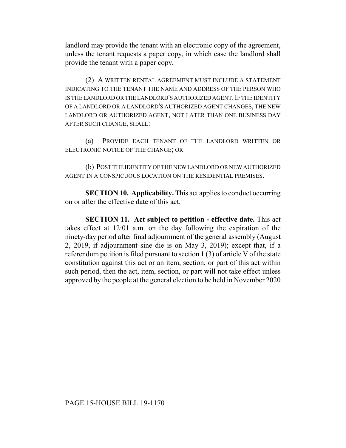landlord may provide the tenant with an electronic copy of the agreement, unless the tenant requests a paper copy, in which case the landlord shall provide the tenant with a paper copy.

(2) A WRITTEN RENTAL AGREEMENT MUST INCLUDE A STATEMENT INDICATING TO THE TENANT THE NAME AND ADDRESS OF THE PERSON WHO IS THE LANDLORD OR THE LANDLORD'S AUTHORIZED AGENT. IF THE IDENTITY OF A LANDLORD OR A LANDLORD'S AUTHORIZED AGENT CHANGES, THE NEW LANDLORD OR AUTHORIZED AGENT, NOT LATER THAN ONE BUSINESS DAY AFTER SUCH CHANGE, SHALL:

(a) PROVIDE EACH TENANT OF THE LANDLORD WRITTEN OR ELECTRONIC NOTICE OF THE CHANGE; OR

(b) POST THE IDENTITY OF THE NEW LANDLORD OR NEW AUTHORIZED AGENT IN A CONSPICUOUS LOCATION ON THE RESIDENTIAL PREMISES.

**SECTION 10. Applicability.** This act applies to conduct occurring on or after the effective date of this act.

**SECTION 11. Act subject to petition - effective date.** This act takes effect at 12:01 a.m. on the day following the expiration of the ninety-day period after final adjournment of the general assembly (August 2, 2019, if adjournment sine die is on May 3, 2019); except that, if a referendum petition is filed pursuant to section 1 (3) of article V of the state constitution against this act or an item, section, or part of this act within such period, then the act, item, section, or part will not take effect unless approved by the people at the general election to be held in November 2020